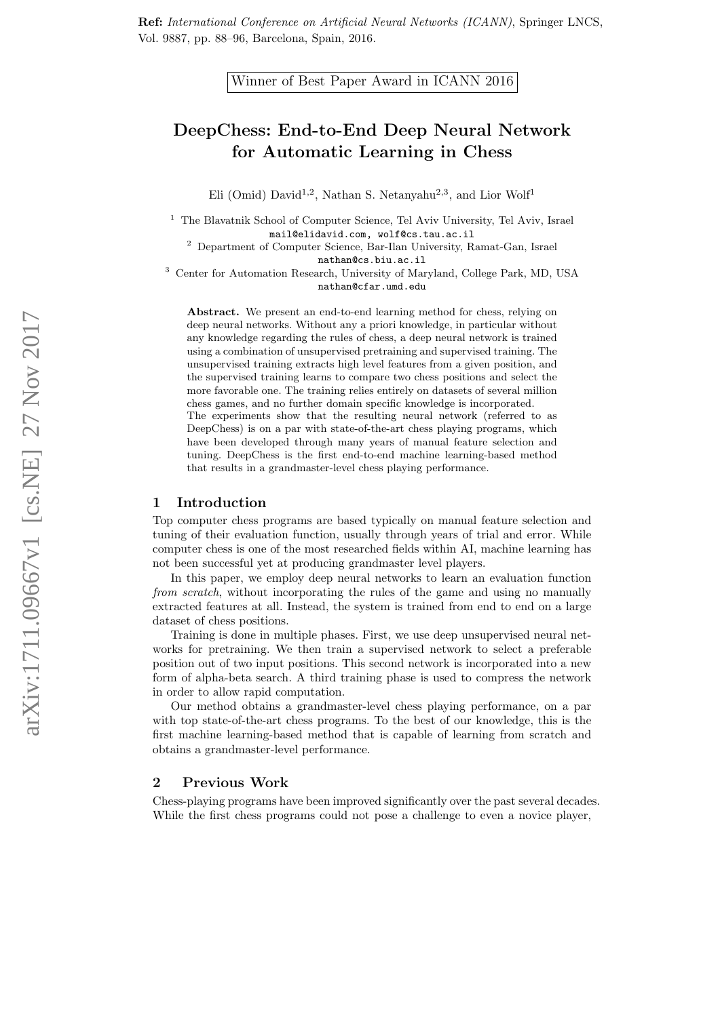Winner of Best Paper Award in ICANN 2016

# DeepChess: End-to-End Deep Neural Network for Automatic Learning in Chess

Eli (Omid) David<sup>1,2</sup>, Nathan S. Netanyahu<sup>2,3</sup>, and Lior Wolf<sup>1</sup>

<sup>1</sup> The Blavatnik School of Computer Science, Tel Aviv University, Tel Aviv, Israel mail@elidavid.com, wolf@cs.tau.ac.il

<sup>2</sup> Department of Computer Science, Bar-Ilan University, Ramat-Gan, Israel nathan@cs.biu.ac.il

<sup>3</sup> Center for Automation Research, University of Maryland, College Park, MD, USA nathan@cfar.umd.edu

Abstract. We present an end-to-end learning method for chess, relying on deep neural networks. Without any a priori knowledge, in particular without any knowledge regarding the rules of chess, a deep neural network is trained using a combination of unsupervised pretraining and supervised training. The unsupervised training extracts high level features from a given position, and the supervised training learns to compare two chess positions and select the more favorable one. The training relies entirely on datasets of several million chess games, and no further domain specific knowledge is incorporated. The experiments show that the resulting neural network (referred to as DeepChess) is on a par with state-of-the-art chess playing programs, which have been developed through many years of manual feature selection and tuning. DeepChess is the first end-to-end machine learning-based method

#### 1 Introduction

Top computer chess programs are based typically on manual feature selection and tuning of their evaluation function, usually through years of trial and error. While computer chess is one of the most researched fields within AI, machine learning has not been successful yet at producing grandmaster level players.

that results in a grandmaster-level chess playing performance.

In this paper, we employ deep neural networks to learn an evaluation function from scratch, without incorporating the rules of the game and using no manually extracted features at all. Instead, the system is trained from end to end on a large dataset of chess positions.

Training is done in multiple phases. First, we use deep unsupervised neural networks for pretraining. We then train a supervised network to select a preferable position out of two input positions. This second network is incorporated into a new form of alpha-beta search. A third training phase is used to compress the network in order to allow rapid computation.

Our method obtains a grandmaster-level chess playing performance, on a par with top state-of-the-art chess programs. To the best of our knowledge, this is the first machine learning-based method that is capable of learning from scratch and obtains a grandmaster-level performance.

#### 2 Previous Work

Chess-playing programs have been improved significantly over the past several decades. While the first chess programs could not pose a challenge to even a novice player,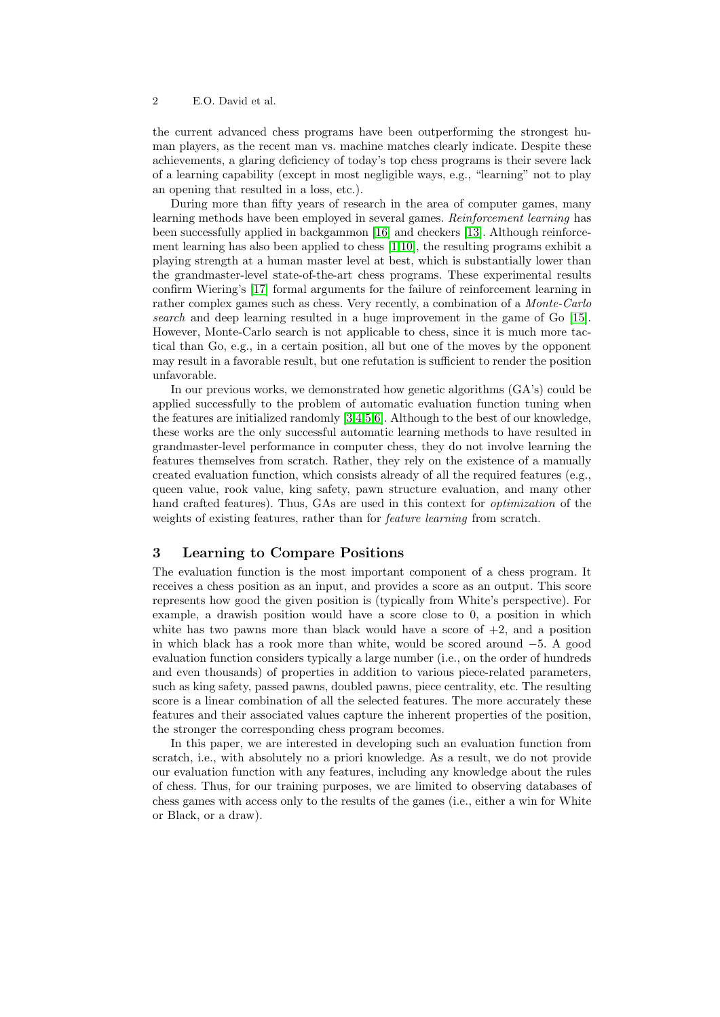the current advanced chess programs have been outperforming the strongest human players, as the recent man vs. machine matches clearly indicate. Despite these achievements, a glaring deficiency of today's top chess programs is their severe lack of a learning capability (except in most negligible ways, e.g., "learning" not to play an opening that resulted in a loss, etc.).

During more than fifty years of research in the area of computer games, many learning methods have been employed in several games. Reinforcement learning has been successfully applied in backgammon [\[16\]](#page-7-0) and checkers [\[13\]](#page-7-1). Although reinforcement learning has also been applied to chess  $[1,10]$  $[1,10]$ , the resulting programs exhibit a playing strength at a human master level at best, which is substantially lower than the grandmaster-level state-of-the-art chess programs. These experimental results confirm Wiering's [\[17\]](#page-7-4) formal arguments for the failure of reinforcement learning in rather complex games such as chess. Very recently, a combination of a Monte-Carlo search and deep learning resulted in a huge improvement in the game of Go [\[15\]](#page-7-5). However, Monte-Carlo search is not applicable to chess, since it is much more tactical than Go, e.g., in a certain position, all but one of the moves by the opponent may result in a favorable result, but one refutation is sufficient to render the position unfavorable.

In our previous works, we demonstrated how genetic algorithms (GA's) could be applied successfully to the problem of automatic evaluation function tuning when the features are initialized randomly [\[3,](#page-7-6)[4,](#page-7-7)[5,](#page-7-8)[6\]](#page-7-9). Although to the best of our knowledge, these works are the only successful automatic learning methods to have resulted in grandmaster-level performance in computer chess, they do not involve learning the features themselves from scratch. Rather, they rely on the existence of a manually created evaluation function, which consists already of all the required features (e.g., queen value, rook value, king safety, pawn structure evaluation, and many other hand crafted features). Thus, GAs are used in this context for *optimization* of the weights of existing features, rather than for *feature learning* from scratch.

## 3 Learning to Compare Positions

The evaluation function is the most important component of a chess program. It receives a chess position as an input, and provides a score as an output. This score represents how good the given position is (typically from White's perspective). For example, a drawish position would have a score close to 0, a position in which white has two pawns more than black would have a score of  $+2$ , and a position in which black has a rook more than white, would be scored around −5. A good evaluation function considers typically a large number (i.e., on the order of hundreds and even thousands) of properties in addition to various piece-related parameters, such as king safety, passed pawns, doubled pawns, piece centrality, etc. The resulting score is a linear combination of all the selected features. The more accurately these features and their associated values capture the inherent properties of the position, the stronger the corresponding chess program becomes.

In this paper, we are interested in developing such an evaluation function from scratch, i.e., with absolutely no a priori knowledge. As a result, we do not provide our evaluation function with any features, including any knowledge about the rules of chess. Thus, for our training purposes, we are limited to observing databases of chess games with access only to the results of the games (i.e., either a win for White or Black, or a draw).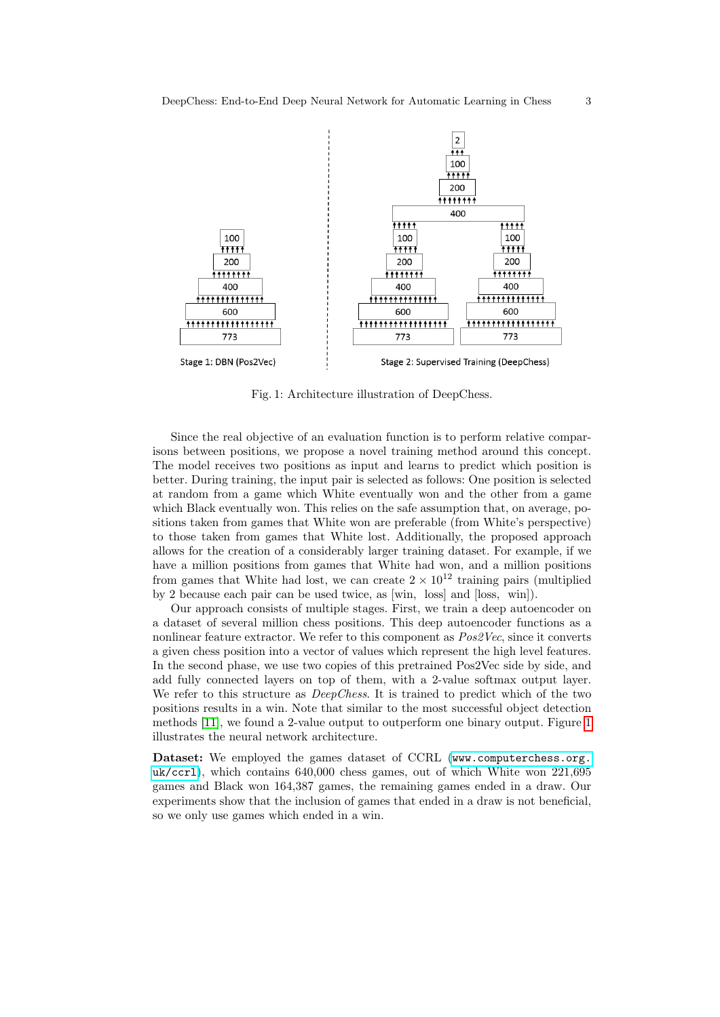<span id="page-2-0"></span>

Fig. 1: Architecture illustration of DeepChess.

Since the real objective of an evaluation function is to perform relative comparisons between positions, we propose a novel training method around this concept. The model receives two positions as input and learns to predict which position is better. During training, the input pair is selected as follows: One position is selected at random from a game which White eventually won and the other from a game which Black eventually won. This relies on the safe assumption that, on average, positions taken from games that White won are preferable (from White's perspective) to those taken from games that White lost. Additionally, the proposed approach allows for the creation of a considerably larger training dataset. For example, if we have a million positions from games that White had won, and a million positions from games that White had lost, we can create  $2 \times 10^{12}$  training pairs (multiplied by 2 because each pair can be used twice, as [win, loss] and [loss, win]).

Our approach consists of multiple stages. First, we train a deep autoencoder on a dataset of several million chess positions. This deep autoencoder functions as a nonlinear feature extractor. We refer to this component as  $Pos2Vec$ , since it converts a given chess position into a vector of values which represent the high level features. In the second phase, we use two copies of this pretrained Pos2Vec side by side, and add fully connected layers on top of them, with a 2-value softmax output layer. We refer to this structure as *DeepChess*. It is trained to predict which of the two positions results in a win. Note that similar to the most successful object detection methods [\[11\]](#page-7-10), we found a 2-value output to outperform one binary output. Figure [1](#page-2-0) illustrates the neural network architecture.

Dataset: We employed the games dataset of CCRL ([www.computerchess.org.](www.computerchess.org.uk/ccrl) [uk/ccrl](www.computerchess.org.uk/ccrl)), which contains 640,000 chess games, out of which White won 221,695 games and Black won 164,387 games, the remaining games ended in a draw. Our experiments show that the inclusion of games that ended in a draw is not beneficial, so we only use games which ended in a win.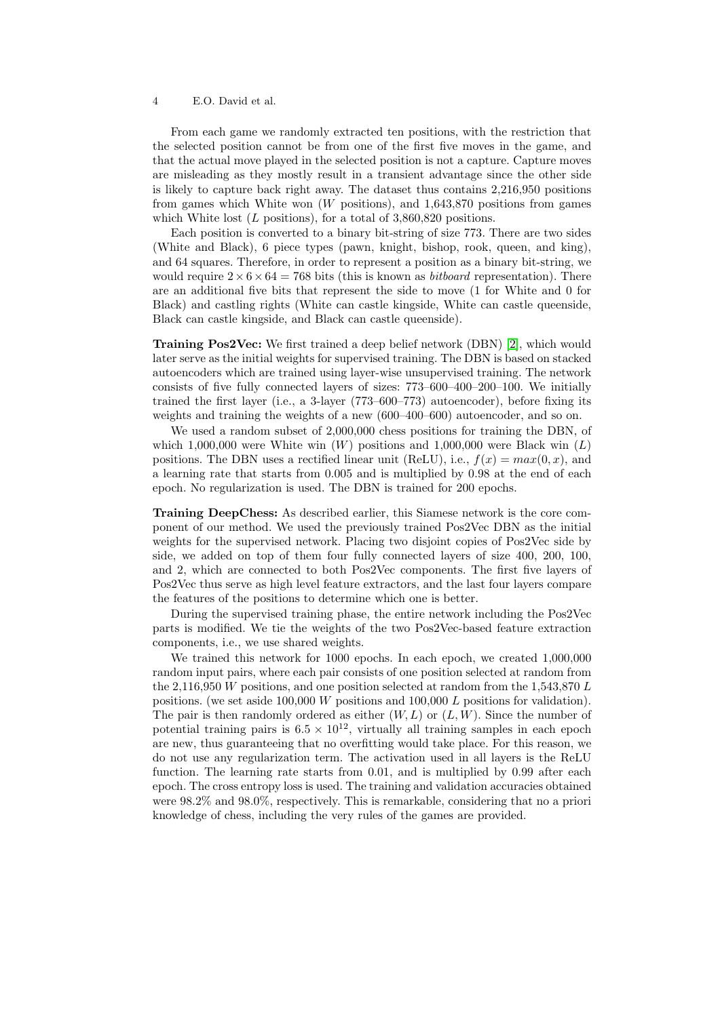From each game we randomly extracted ten positions, with the restriction that the selected position cannot be from one of the first five moves in the game, and that the actual move played in the selected position is not a capture. Capture moves are misleading as they mostly result in a transient advantage since the other side is likely to capture back right away. The dataset thus contains 2,216,950 positions from games which White won (W positions), and 1,643,870 positions from games which White lost  $(L \text{ positions})$ , for a total of 3,860,820 positions.

Each position is converted to a binary bit-string of size 773. There are two sides (White and Black), 6 piece types (pawn, knight, bishop, rook, queen, and king), and 64 squares. Therefore, in order to represent a position as a binary bit-string, we would require  $2 \times 6 \times 64 = 768$  bits (this is known as *bitboard* representation). There are an additional five bits that represent the side to move (1 for White and 0 for Black) and castling rights (White can castle kingside, White can castle queenside, Black can castle kingside, and Black can castle queenside).

Training Pos2Vec: We first trained a deep belief network (DBN) [\[2\]](#page-7-11), which would later serve as the initial weights for supervised training. The DBN is based on stacked autoencoders which are trained using layer-wise unsupervised training. The network consists of five fully connected layers of sizes: 773–600–400–200–100. We initially trained the first layer (i.e., a 3-layer (773–600–773) autoencoder), before fixing its weights and training the weights of a new (600–400–600) autoencoder, and so on.

We used a random subset of 2,000,000 chess positions for training the DBN, of which 1,000,000 were White win  $(W)$  positions and 1,000,000 were Black win  $(L)$ positions. The DBN uses a rectified linear unit (ReLU), i.e.,  $f(x) = max(0, x)$ , and a learning rate that starts from 0.005 and is multiplied by 0.98 at the end of each epoch. No regularization is used. The DBN is trained for 200 epochs.

Training DeepChess: As described earlier, this Siamese network is the core component of our method. We used the previously trained Pos2Vec DBN as the initial weights for the supervised network. Placing two disjoint copies of Pos2Vec side by side, we added on top of them four fully connected layers of size 400, 200, 100, and 2, which are connected to both Pos2Vec components. The first five layers of Pos2Vec thus serve as high level feature extractors, and the last four layers compare the features of the positions to determine which one is better.

During the supervised training phase, the entire network including the Pos2Vec parts is modified. We tie the weights of the two Pos2Vec-based feature extraction components, i.e., we use shared weights.

We trained this network for 1000 epochs. In each epoch, we created 1,000,000 random input pairs, where each pair consists of one position selected at random from the 2,116,950 W positions, and one position selected at random from the 1,543,870 L positions. (we set aside 100,000 W positions and 100,000 L positions for validation). The pair is then randomly ordered as either  $(W, L)$  or  $(L, W)$ . Since the number of potential training pairs is  $6.5 \times 10^{12}$ , virtually all training samples in each epoch are new, thus guaranteeing that no overfitting would take place. For this reason, we do not use any regularization term. The activation used in all layers is the ReLU function. The learning rate starts from 0.01, and is multiplied by 0.99 after each epoch. The cross entropy loss is used. The training and validation accuracies obtained were 98.2% and 98.0%, respectively. This is remarkable, considering that no a priori knowledge of chess, including the very rules of the games are provided.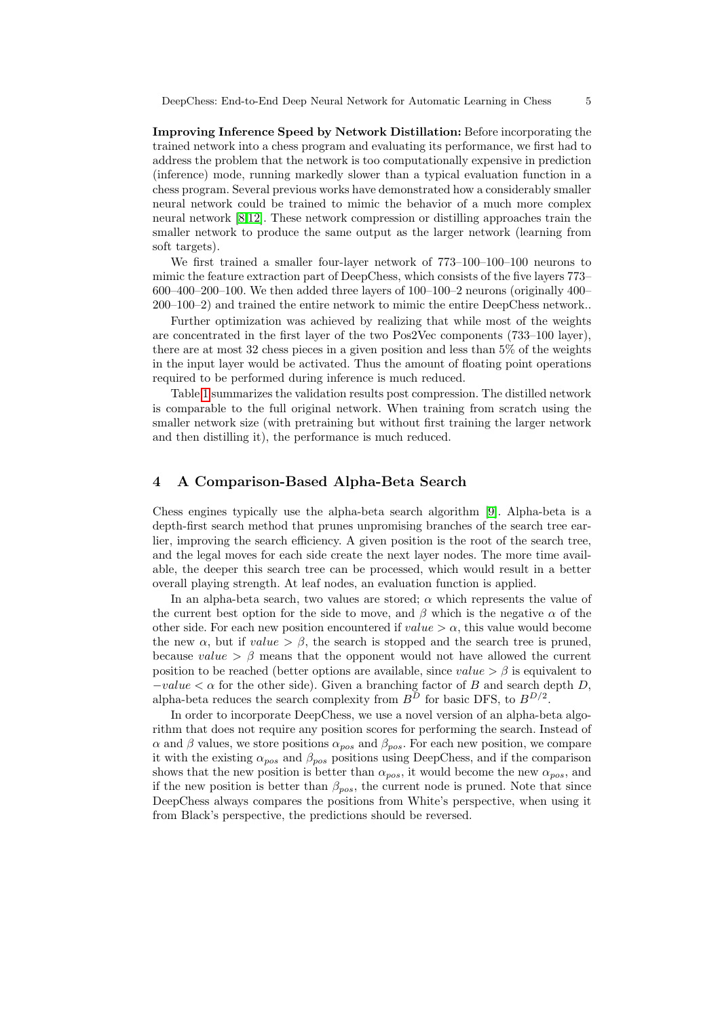Improving Inference Speed by Network Distillation: Before incorporating the trained network into a chess program and evaluating its performance, we first had to address the problem that the network is too computationally expensive in prediction (inference) mode, running markedly slower than a typical evaluation function in a chess program. Several previous works have demonstrated how a considerably smaller neural network could be trained to mimic the behavior of a much more complex neural network [\[8](#page-7-12)[,12\]](#page-7-13). These network compression or distilling approaches train the smaller network to produce the same output as the larger network (learning from soft targets).

We first trained a smaller four-layer network of 773–100–100–100 neurons to mimic the feature extraction part of DeepChess, which consists of the five layers 773– 600–400–200–100. We then added three layers of 100–100–2 neurons (originally 400– 200–100–2) and trained the entire network to mimic the entire DeepChess network..

Further optimization was achieved by realizing that while most of the weights are concentrated in the first layer of the two Pos2Vec components (733–100 layer), there are at most 32 chess pieces in a given position and less than 5% of the weights in the input layer would be activated. Thus the amount of floating point operations required to be performed during inference is much reduced.

Table [1](#page-6-0) summarizes the validation results post compression. The distilled network is comparable to the full original network. When training from scratch using the smaller network size (with pretraining but without first training the larger network and then distilling it), the performance is much reduced.

## 4 A Comparison-Based Alpha-Beta Search

Chess engines typically use the alpha-beta search algorithm [\[9\]](#page-7-14). Alpha-beta is a depth-first search method that prunes unpromising branches of the search tree earlier, improving the search efficiency. A given position is the root of the search tree, and the legal moves for each side create the next layer nodes. The more time available, the deeper this search tree can be processed, which would result in a better overall playing strength. At leaf nodes, an evaluation function is applied.

In an alpha-beta search, two values are stored;  $\alpha$  which represents the value of the current best option for the side to move, and  $\beta$  which is the negative  $\alpha$  of the other side. For each new position encountered if  $value > \alpha$ , this value would become the new  $\alpha$ , but if value  $>\beta$ , the search is stopped and the search tree is pruned, because value  $\geq \beta$  means that the opponent would not have allowed the current position to be reached (better options are available, since  $value > \beta$  is equivalent to  $-value < \alpha$  for the other side). Given a branching factor of B and search depth D, alpha-beta reduces the search complexity from  $B^D$  for basic DFS, to  $B^{D/2}$ .

In order to incorporate DeepChess, we use a novel version of an alpha-beta algorithm that does not require any position scores for performing the search. Instead of  $\alpha$  and  $\beta$  values, we store positions  $\alpha_{pos}$  and  $\beta_{pos}$ . For each new position, we compare it with the existing  $\alpha_{pos}$  and  $\beta_{pos}$  positions using DeepChess, and if the comparison shows that the new position is better than  $\alpha_{pos}$ , it would become the new  $\alpha_{pos}$ , and if the new position is better than  $\beta_{pos}$ , the current node is pruned. Note that since DeepChess always compares the positions from White's perspective, when using it from Black's perspective, the predictions should be reversed.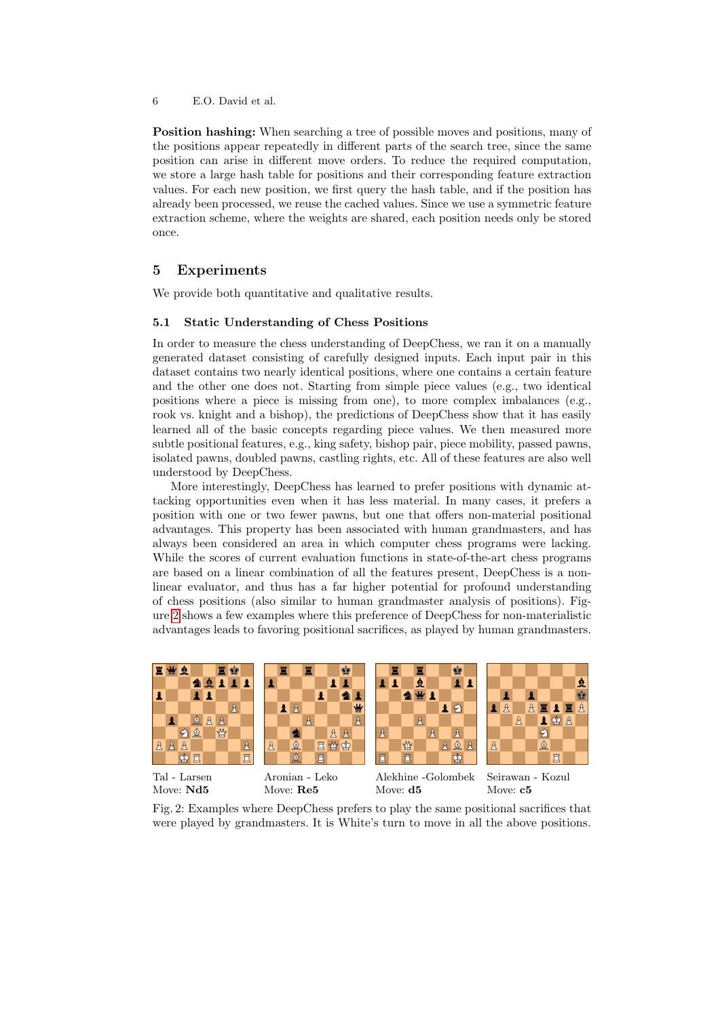Position hashing: When searching a tree of possible moves and positions, many of the positions appear repeatedly in different parts of the search tree, since the same position can arise in different move orders. To reduce the required computation, we store a large hash table for positions and their corresponding feature extraction values. For each new position, we first query the hash table, and if the position has already been processed, we reuse the cached values. Since we use a symmetric feature extraction scheme, where the weights are shared, each position needs only be stored once.

## 5 Experiments

We provide both quantitative and qualitative results.

#### 5.1 Static Understanding of Chess Positions

In order to measure the chess understanding of DeepChess, we ran it on a manually generated dataset consisting of carefully designed inputs. Each input pair in this dataset contains two nearly identical positions, where one contains a certain feature and the other one does not. Starting from simple piece values (e.g., two identical positions where a piece is missing from one), to more complex imbalances (e.g., rook vs. knight and a bishop), the predictions of DeepChess show that it has easily learned all of the basic concepts regarding piece values. We then measured more subtle positional features, e.g., king safety, bishop pair, piece mobility, passed pawns, isolated pawns, doubled pawns, castling rights, etc. All of these features are also well understood by DeepChess.

More interestingly, DeepChess has learned to prefer positions with dynamic attacking opportunities even when it has less material. In many cases, it prefers a position with one or two fewer pawns, but one that offers non-material positional advantages. This property has been associated with human grandmasters, and has always been considered an area in which computer chess programs were lacking. While the scores of current evaluation functions in state-of-the-art chess programs are based on a linear combination of all the features present, DeepChess is a nonlinear evaluator, and thus has a far higher potential for profound understanding of chess positions (also similar to human grandmaster analysis of positions). Figure [2](#page-5-0) shows a few examples where this preference of DeepChess for non-materialistic advantages leads to favoring positional sacrifices, as played by human grandmasters.

<span id="page-5-0"></span>

Fig. 2: Examples where DeepChess prefers to play the same positional sacrifices that were played by grandmasters. It is White's turn to move in all the above positions.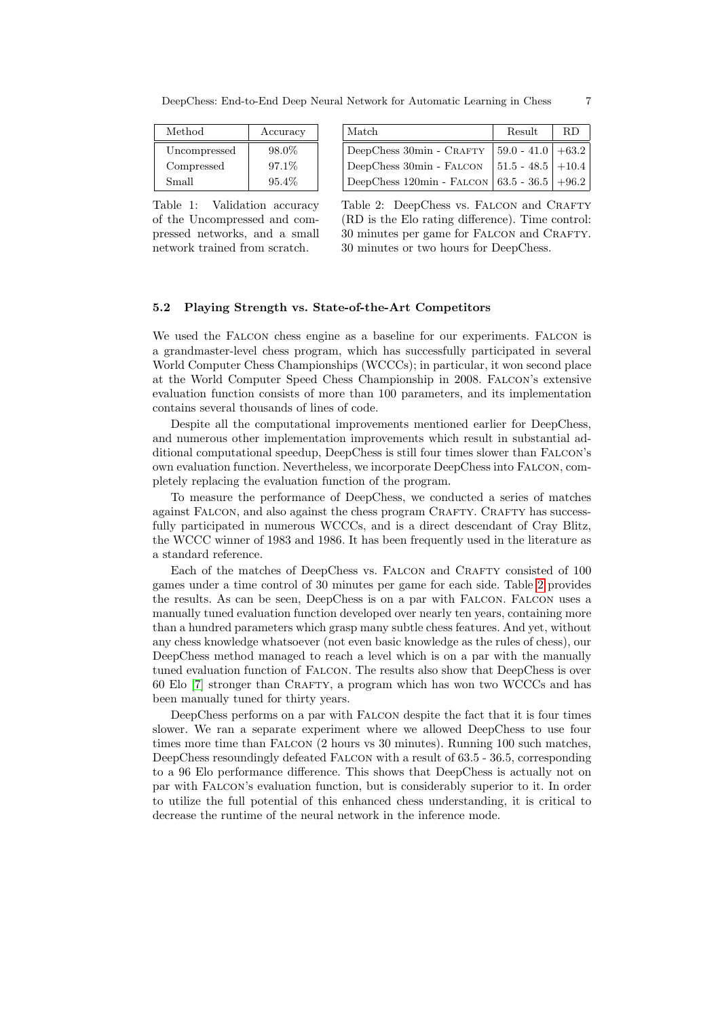<span id="page-6-0"></span>

| Method       | Accuracy |
|--------------|----------|
| Uncompressed | 98.0%    |
| Compressed   | 97.1\%   |
| Small        | $95.4\%$ |

| Match                                                               | Result | RD |
|---------------------------------------------------------------------|--------|----|
| DeepChess 30min - CRAFTY   59.0 - 41.0   $+63.2$                    |        |    |
| DeepChess 30min - FALCON   51.5 - 48.5   $+10.4$                    |        |    |
| DeepChess 120min - FALCON $\vert$ 63.5 - 36.5 $\vert$ +96.2 $\vert$ |        |    |

Table 1: Validation accuracy of the Uncompressed and compressed networks, and a small network trained from scratch.

Table 2: DeepChess vs. FALCON and CRAFTY (RD is the Elo rating difference). Time control: 30 minutes per game for FALCON and CRAFTY. 30 minutes or two hours for DeepChess.

#### 5.2 Playing Strength vs. State-of-the-Art Competitors

We used the Falcon chess engine as a baseline for our experiments. Falcon is a grandmaster-level chess program, which has successfully participated in several World Computer Chess Championships (WCCCs); in particular, it won second place at the World Computer Speed Chess Championship in 2008. Falcon's extensive evaluation function consists of more than 100 parameters, and its implementation contains several thousands of lines of code.

Despite all the computational improvements mentioned earlier for DeepChess, and numerous other implementation improvements which result in substantial additional computational speedup, DeepChess is still four times slower than Falcon's own evaluation function. Nevertheless, we incorporate DeepChess into Falcon, completely replacing the evaluation function of the program.

To measure the performance of DeepChess, we conducted a series of matches against FALCON, and also against the chess program CRAFTY. CRAFTY has successfully participated in numerous WCCCs, and is a direct descendant of Cray Blitz, the WCCC winner of 1983 and 1986. It has been frequently used in the literature as a standard reference.

Each of the matches of DeepChess vs. FALCON and CRAFTY consisted of 100 games under a time control of 30 minutes per game for each side. Table [2](#page-6-0) provides the results. As can be seen, DeepChess is on a par with Falcon. Falcon uses a manually tuned evaluation function developed over nearly ten years, containing more than a hundred parameters which grasp many subtle chess features. And yet, without any chess knowledge whatsoever (not even basic knowledge as the rules of chess), our DeepChess method managed to reach a level which is on a par with the manually tuned evaluation function of Falcon. The results also show that DeepChess is over 60 Elo [\[7\]](#page-7-15) stronger than CRAFTY, a program which has won two WCCCs and has been manually tuned for thirty years.

DeepChess performs on a par with Falcon despite the fact that it is four times slower. We ran a separate experiment where we allowed DeepChess to use four times more time than Falcon (2 hours vs 30 minutes). Running 100 such matches, DeepChess resoundingly defeated Falcon with a result of 63.5 - 36.5, corresponding to a 96 Elo performance difference. This shows that DeepChess is actually not on par with Falcon's evaluation function, but is considerably superior to it. In order to utilize the full potential of this enhanced chess understanding, it is critical to decrease the runtime of the neural network in the inference mode.